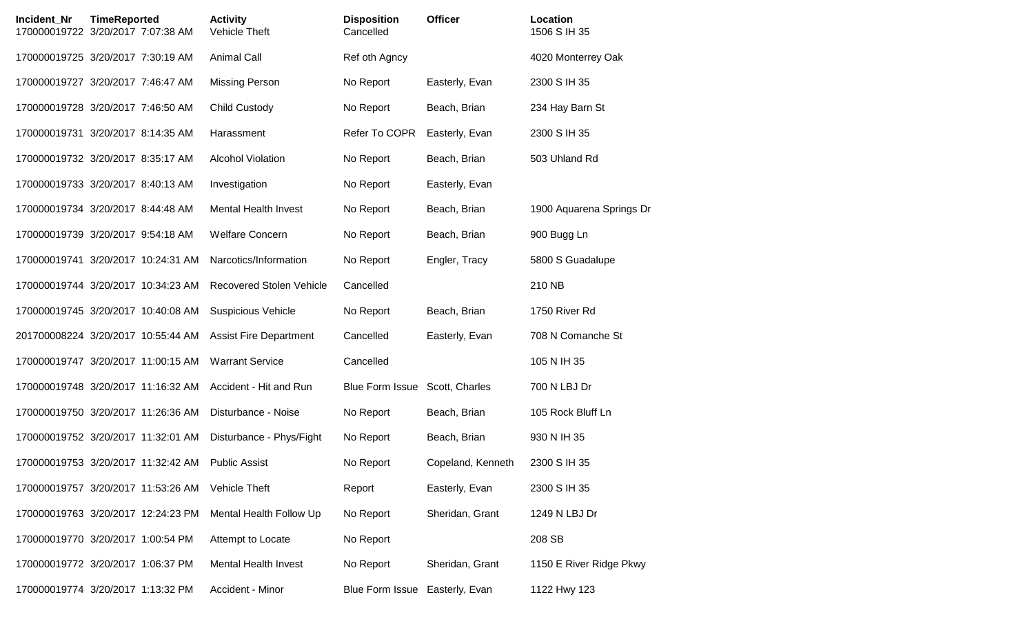| Incident Nr | <b>TimeReported</b><br>170000019722 3/20/2017 7:07:38 AM | <b>Activity</b><br>Vehicle Theft | <b>Disposition</b><br>Cancelled | <b>Officer</b>    | Location<br>1506 S IH 35 |
|-------------|----------------------------------------------------------|----------------------------------|---------------------------------|-------------------|--------------------------|
|             | 170000019725 3/20/2017 7:30:19 AM                        | <b>Animal Call</b>               | Ref oth Agncy                   |                   | 4020 Monterrey Oak       |
|             | 170000019727 3/20/2017 7:46:47 AM                        | <b>Missing Person</b>            | No Report                       | Easterly, Evan    | 2300 S IH 35             |
|             | 170000019728 3/20/2017 7:46:50 AM                        | <b>Child Custody</b>             | No Report                       | Beach, Brian      | 234 Hay Barn St          |
|             | 170000019731 3/20/2017 8:14:35 AM                        | Harassment                       | Refer To COPR                   | Easterly, Evan    | 2300 S IH 35             |
|             | 170000019732 3/20/2017 8:35:17 AM                        | <b>Alcohol Violation</b>         | No Report                       | Beach, Brian      | 503 Uhland Rd            |
|             | 170000019733 3/20/2017 8:40:13 AM                        | Investigation                    | No Report                       | Easterly, Evan    |                          |
|             | 170000019734 3/20/2017 8:44:48 AM                        | <b>Mental Health Invest</b>      | No Report                       | Beach, Brian      | 1900 Aquarena Springs Dr |
|             | 170000019739 3/20/2017 9:54:18 AM                        | <b>Welfare Concern</b>           | No Report                       | Beach, Brian      | 900 Bugg Ln              |
|             | 170000019741 3/20/2017 10:24:31 AM                       | Narcotics/Information            | No Report                       | Engler, Tracy     | 5800 S Guadalupe         |
|             | 170000019744 3/20/2017 10:34:23 AM                       | <b>Recovered Stolen Vehicle</b>  | Cancelled                       |                   | 210 NB                   |
|             | 170000019745 3/20/2017 10:40:08 AM                       | <b>Suspicious Vehicle</b>        | No Report                       | Beach, Brian      | 1750 River Rd            |
|             | 201700008224 3/20/2017 10:55:44 AM                       | <b>Assist Fire Department</b>    | Cancelled                       | Easterly, Evan    | 708 N Comanche St        |
|             | 170000019747 3/20/2017 11:00:15 AM                       | <b>Warrant Service</b>           | Cancelled                       |                   | 105 N IH 35              |
|             | 170000019748 3/20/2017 11:16:32 AM                       | Accident - Hit and Run           | Blue Form Issue                 | Scott, Charles    | 700 N LBJ Dr             |
|             | 170000019750 3/20/2017 11:26:36 AM                       | Disturbance - Noise              | No Report                       | Beach, Brian      | 105 Rock Bluff Ln        |
|             | 170000019752 3/20/2017 11:32:01 AM                       | Disturbance - Phys/Fight         | No Report                       | Beach, Brian      | 930 N IH 35              |
|             | 170000019753 3/20/2017 11:32:42 AM                       | <b>Public Assist</b>             | No Report                       | Copeland, Kenneth | 2300 S IH 35             |
|             | 170000019757 3/20/2017 11:53:26 AM                       | <b>Vehicle Theft</b>             | Report                          | Easterly, Evan    | 2300 S IH 35             |
|             | 170000019763 3/20/2017 12:24:23 PM                       | Mental Health Follow Up          | No Report                       | Sheridan, Grant   | 1249 N LBJ Dr            |
|             | 170000019770 3/20/2017 1:00:54 PM                        | Attempt to Locate                | No Report                       |                   | 208 SB                   |
|             | 170000019772 3/20/2017 1:06:37 PM                        | <b>Mental Health Invest</b>      | No Report                       | Sheridan, Grant   | 1150 E River Ridge Pkwy  |
|             | 170000019774 3/20/2017 1:13:32 PM                        | Accident - Minor                 | Blue Form Issue                 | Easterly, Evan    | 1122 Hwy 123             |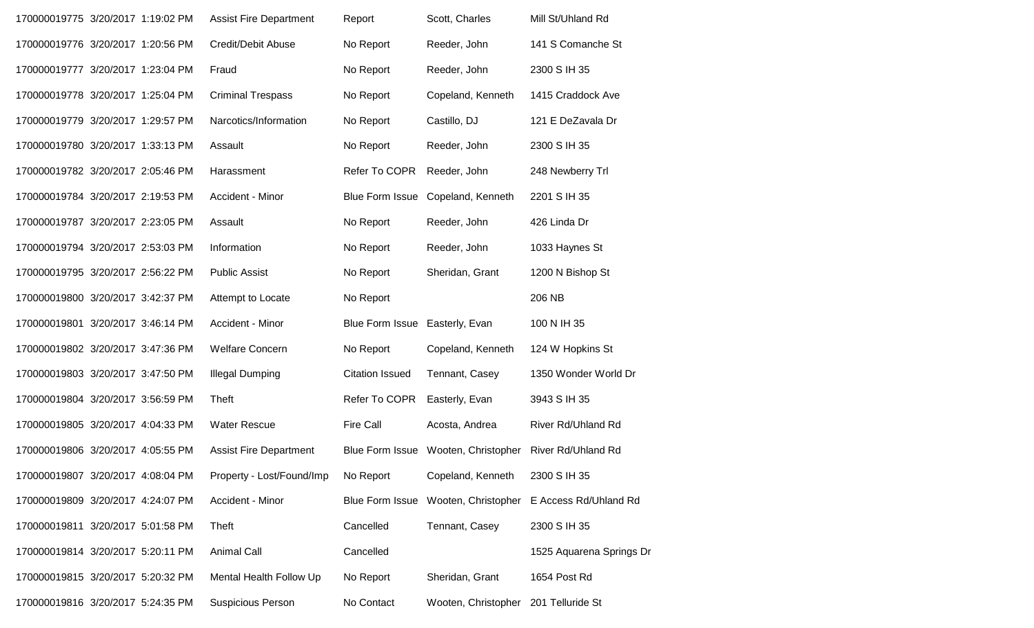| 170000019775 3/20/2017 1:19:02 PM |  | <b>Assist Fire Department</b> | Report                 | Scott, Charles                       | Mill St/Uhland Rd        |
|-----------------------------------|--|-------------------------------|------------------------|--------------------------------------|--------------------------|
| 170000019776 3/20/2017 1:20:56 PM |  | Credit/Debit Abuse            | No Report              | Reeder, John                         | 141 S Comanche St        |
| 170000019777 3/20/2017 1:23:04 PM |  | Fraud                         | No Report              | Reeder, John                         | 2300 S IH 35             |
| 170000019778 3/20/2017 1:25:04 PM |  | <b>Criminal Trespass</b>      | No Report              | Copeland, Kenneth                    | 1415 Craddock Ave        |
| 170000019779 3/20/2017 1:29:57 PM |  | Narcotics/Information         | No Report              | Castillo, DJ                         | 121 E DeZavala Dr        |
| 170000019780 3/20/2017 1:33:13 PM |  | Assault                       | No Report              | Reeder, John                         | 2300 S IH 35             |
| 170000019782 3/20/2017 2:05:46 PM |  | Harassment                    | Refer To COPR          | Reeder, John                         | 248 Newberry Trl         |
| 170000019784 3/20/2017 2:19:53 PM |  | Accident - Minor              | <b>Blue Form Issue</b> | Copeland, Kenneth                    | 2201 S IH 35             |
| 170000019787 3/20/2017 2:23:05 PM |  | Assault                       | No Report              | Reeder, John                         | 426 Linda Dr             |
| 170000019794 3/20/2017 2:53:03 PM |  | Information                   | No Report              | Reeder, John                         | 1033 Haynes St           |
| 170000019795 3/20/2017 2:56:22 PM |  | <b>Public Assist</b>          | No Report              | Sheridan, Grant                      | 1200 N Bishop St         |
| 170000019800 3/20/2017 3:42:37 PM |  | Attempt to Locate             | No Report              |                                      | 206 NB                   |
| 170000019801 3/20/2017 3:46:14 PM |  | Accident - Minor              | Blue Form Issue        | Easterly, Evan                       | 100 N IH 35              |
| 170000019802 3/20/2017 3:47:36 PM |  | <b>Welfare Concern</b>        | No Report              | Copeland, Kenneth                    | 124 W Hopkins St         |
| 170000019803 3/20/2017 3:47:50 PM |  | <b>Illegal Dumping</b>        | <b>Citation Issued</b> | Tennant, Casey                       | 1350 Wonder World Dr     |
| 170000019804 3/20/2017 3:56:59 PM |  | <b>Theft</b>                  | Refer To COPR          | Easterly, Evan                       | 3943 S IH 35             |
| 170000019805 3/20/2017 4:04:33 PM |  | <b>Water Rescue</b>           | <b>Fire Call</b>       | Acosta, Andrea                       | River Rd/Uhland Rd       |
| 170000019806 3/20/2017 4:05:55 PM |  | <b>Assist Fire Department</b> | <b>Blue Form Issue</b> | Wooten, Christopher                  | River Rd/Uhland Rd       |
| 170000019807 3/20/2017 4:08:04 PM |  | Property - Lost/Found/Imp     | No Report              | Copeland, Kenneth                    | 2300 S IH 35             |
| 170000019809 3/20/2017 4:24:07 PM |  | Accident - Minor              | Blue Form Issue        | Wooten, Christopher                  | E Access Rd/Uhland Rd    |
| 170000019811 3/20/2017 5:01:58 PM |  | <b>Theft</b>                  | Cancelled              | Tennant, Casey                       | 2300 S IH 35             |
| 170000019814 3/20/2017 5:20:11 PM |  | <b>Animal Call</b>            | Cancelled              |                                      | 1525 Aquarena Springs Dr |
| 170000019815 3/20/2017 5:20:32 PM |  | Mental Health Follow Up       | No Report              | Sheridan, Grant                      | 1654 Post Rd             |
| 170000019816 3/20/2017 5:24:35 PM |  | Suspicious Person             | No Contact             | Wooten, Christopher 201 Telluride St |                          |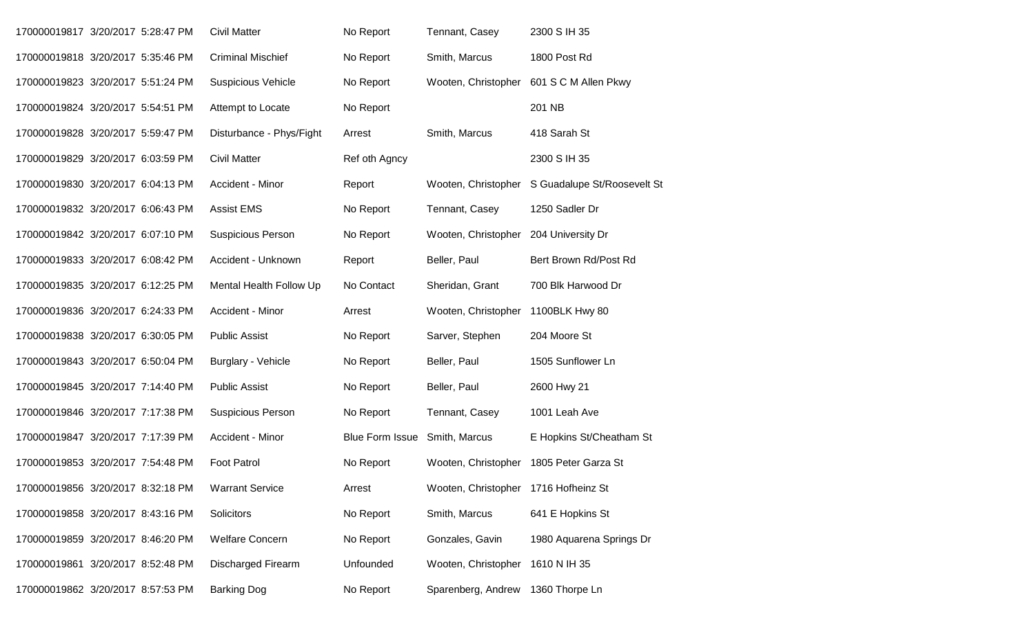| 170000019817 3/20/2017 5:28:47 PM |  | <b>Civil Matter</b>       | No Report              | Tennant, Casey                          | 2300 S IH 35                             |
|-----------------------------------|--|---------------------------|------------------------|-----------------------------------------|------------------------------------------|
| 170000019818 3/20/2017 5:35:46 PM |  | <b>Criminal Mischief</b>  | No Report              | Smith, Marcus                           | 1800 Post Rd                             |
| 170000019823 3/20/2017 5:51:24 PM |  | <b>Suspicious Vehicle</b> | No Report              |                                         | Wooten, Christopher 601 S C M Allen Pkwy |
| 170000019824 3/20/2017 5:54:51 PM |  | Attempt to Locate         | No Report              |                                         | 201 NB                                   |
| 170000019828 3/20/2017 5:59:47 PM |  | Disturbance - Phys/Fight  | Arrest                 | Smith, Marcus                           | 418 Sarah St                             |
| 170000019829 3/20/2017 6:03:59 PM |  | <b>Civil Matter</b>       | Ref oth Agncy          |                                         | 2300 S IH 35                             |
| 170000019830 3/20/2017 6:04:13 PM |  | Accident - Minor          | Report                 | Wooten, Christopher                     | S Guadalupe St/Roosevelt St              |
| 170000019832 3/20/2017 6:06:43 PM |  | <b>Assist EMS</b>         | No Report              | Tennant, Casey                          | 1250 Sadler Dr                           |
| 170000019842 3/20/2017 6:07:10 PM |  | <b>Suspicious Person</b>  | No Report              | Wooten, Christopher                     | 204 University Dr                        |
| 170000019833 3/20/2017 6:08:42 PM |  | Accident - Unknown        | Report                 | Beller, Paul                            | Bert Brown Rd/Post Rd                    |
| 170000019835 3/20/2017 6:12:25 PM |  | Mental Health Follow Up   | No Contact             | Sheridan, Grant                         | 700 Blk Harwood Dr                       |
| 170000019836 3/20/2017 6:24:33 PM |  | Accident - Minor          | Arrest                 | Wooten, Christopher 1100BLK Hwy 80      |                                          |
| 170000019838 3/20/2017 6:30:05 PM |  | <b>Public Assist</b>      | No Report              | Sarver, Stephen                         | 204 Moore St                             |
| 170000019843 3/20/2017 6:50:04 PM |  | <b>Burglary - Vehicle</b> | No Report              | Beller, Paul                            | 1505 Sunflower Ln                        |
| 170000019845 3/20/2017 7:14:40 PM |  | <b>Public Assist</b>      | No Report              | Beller, Paul                            | 2600 Hwy 21                              |
| 170000019846 3/20/2017 7:17:38 PM |  | <b>Suspicious Person</b>  | No Report              | Tennant, Casey                          | 1001 Leah Ave                            |
| 170000019847 3/20/2017 7:17:39 PM |  | Accident - Minor          | <b>Blue Form Issue</b> | Smith, Marcus                           | E Hopkins St/Cheatham St                 |
| 170000019853 3/20/2017 7:54:48 PM |  | <b>Foot Patrol</b>        | No Report              | Wooten, Christopher 1805 Peter Garza St |                                          |
| 170000019856 3/20/2017 8:32:18 PM |  | <b>Warrant Service</b>    | Arrest                 | Wooten, Christopher 1716 Hofheinz St    |                                          |
| 170000019858 3/20/2017 8:43:16 PM |  | Solicitors                | No Report              | Smith, Marcus                           | 641 E Hopkins St                         |
| 170000019859 3/20/2017 8:46:20 PM |  | <b>Welfare Concern</b>    | No Report              | Gonzales, Gavin                         | 1980 Aquarena Springs Dr                 |
| 170000019861 3/20/2017 8:52:48 PM |  | <b>Discharged Firearm</b> | Unfounded              | Wooten, Christopher 1610 N IH 35        |                                          |
| 170000019862 3/20/2017 8:57:53 PM |  | <b>Barking Dog</b>        | No Report              | Sparenberg, Andrew 1360 Thorpe Ln       |                                          |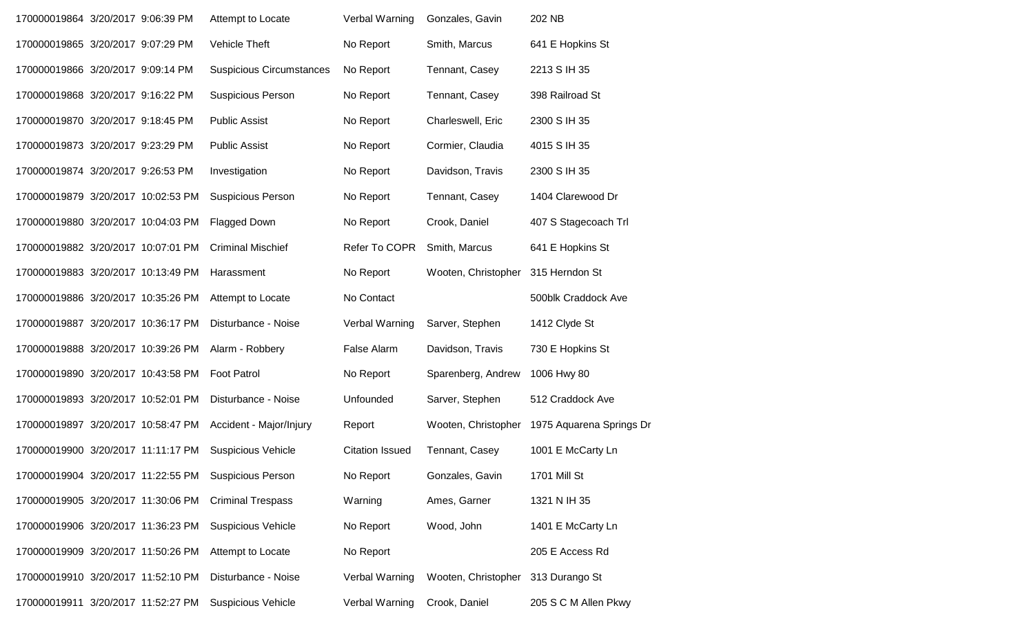| 170000019864 3/20/2017 9:06:39 PM  |  | Attempt to Locate                                    | Verbal Warning         | Gonzales, Gavin     | 202 NB                   |
|------------------------------------|--|------------------------------------------------------|------------------------|---------------------|--------------------------|
| 170000019865 3/20/2017 9:07:29 PM  |  | Vehicle Theft                                        | No Report              | Smith, Marcus       | 641 E Hopkins St         |
| 170000019866 3/20/2017 9:09:14 PM  |  | <b>Suspicious Circumstances</b>                      | No Report              | Tennant, Casey      | 2213 S IH 35             |
| 170000019868 3/20/2017 9:16:22 PM  |  | <b>Suspicious Person</b>                             | No Report              | Tennant, Casey      | 398 Railroad St          |
| 170000019870 3/20/2017 9:18:45 PM  |  | <b>Public Assist</b>                                 | No Report              | Charleswell, Eric   | 2300 S IH 35             |
| 170000019873 3/20/2017 9:23:29 PM  |  | <b>Public Assist</b>                                 | No Report              | Cormier, Claudia    | 4015 S IH 35             |
| 170000019874 3/20/2017 9:26:53 PM  |  | Investigation                                        | No Report              | Davidson, Travis    | 2300 S IH 35             |
| 170000019879 3/20/2017 10:02:53 PM |  | <b>Suspicious Person</b>                             | No Report              | Tennant, Casey      | 1404 Clarewood Dr        |
| 170000019880 3/20/2017 10:04:03 PM |  | <b>Flagged Down</b>                                  | No Report              | Crook, Daniel       | 407 S Stagecoach Trl     |
| 170000019882 3/20/2017 10:07:01 PM |  | <b>Criminal Mischief</b>                             | Refer To COPR          | Smith, Marcus       | 641 E Hopkins St         |
| 170000019883 3/20/2017 10:13:49 PM |  | Harassment                                           | No Report              | Wooten, Christopher | 315 Herndon St           |
| 170000019886 3/20/2017 10:35:26 PM |  | Attempt to Locate                                    | No Contact             |                     | 500blk Craddock Ave      |
| 170000019887 3/20/2017 10:36:17 PM |  | Disturbance - Noise                                  | Verbal Warning         | Sarver, Stephen     | 1412 Clyde St            |
| 170000019888 3/20/2017 10:39:26 PM |  | Alarm - Robbery                                      | False Alarm            | Davidson, Travis    | 730 E Hopkins St         |
| 170000019890 3/20/2017 10:43:58 PM |  | <b>Foot Patrol</b>                                   | No Report              | Sparenberg, Andrew  | 1006 Hwy 80              |
| 170000019893 3/20/2017 10:52:01 PM |  | Disturbance - Noise                                  | Unfounded              | Sarver, Stephen     | 512 Craddock Ave         |
| 170000019897 3/20/2017 10:58:47 PM |  | Accident - Major/Injury                              | Report                 | Wooten, Christopher | 1975 Aquarena Springs Dr |
| 170000019900 3/20/2017 11:11:17 PM |  | <b>Suspicious Vehicle</b>                            | <b>Citation Issued</b> | Tennant, Casey      | 1001 E McCarty Ln        |
|                                    |  | 170000019904 3/20/2017 11:22:55 PM Suspicious Person | No Report              | Gonzales, Gavin     | 1701 Mill St             |
| 170000019905 3/20/2017 11:30:06 PM |  | <b>Criminal Trespass</b>                             | Warning                | Ames, Garner        | 1321 N IH 35             |
| 170000019906 3/20/2017 11:36:23 PM |  | <b>Suspicious Vehicle</b>                            | No Report              | Wood, John          | 1401 E McCarty Ln        |
| 170000019909 3/20/2017 11:50:26 PM |  | Attempt to Locate                                    | No Report              |                     | 205 E Access Rd          |
| 170000019910 3/20/2017 11:52:10 PM |  | Disturbance - Noise                                  | Verbal Warning         | Wooten, Christopher | 313 Durango St           |
| 170000019911 3/20/2017 11:52:27 PM |  | <b>Suspicious Vehicle</b>                            | Verbal Warning         | Crook, Daniel       | 205 S C M Allen Pkwy     |